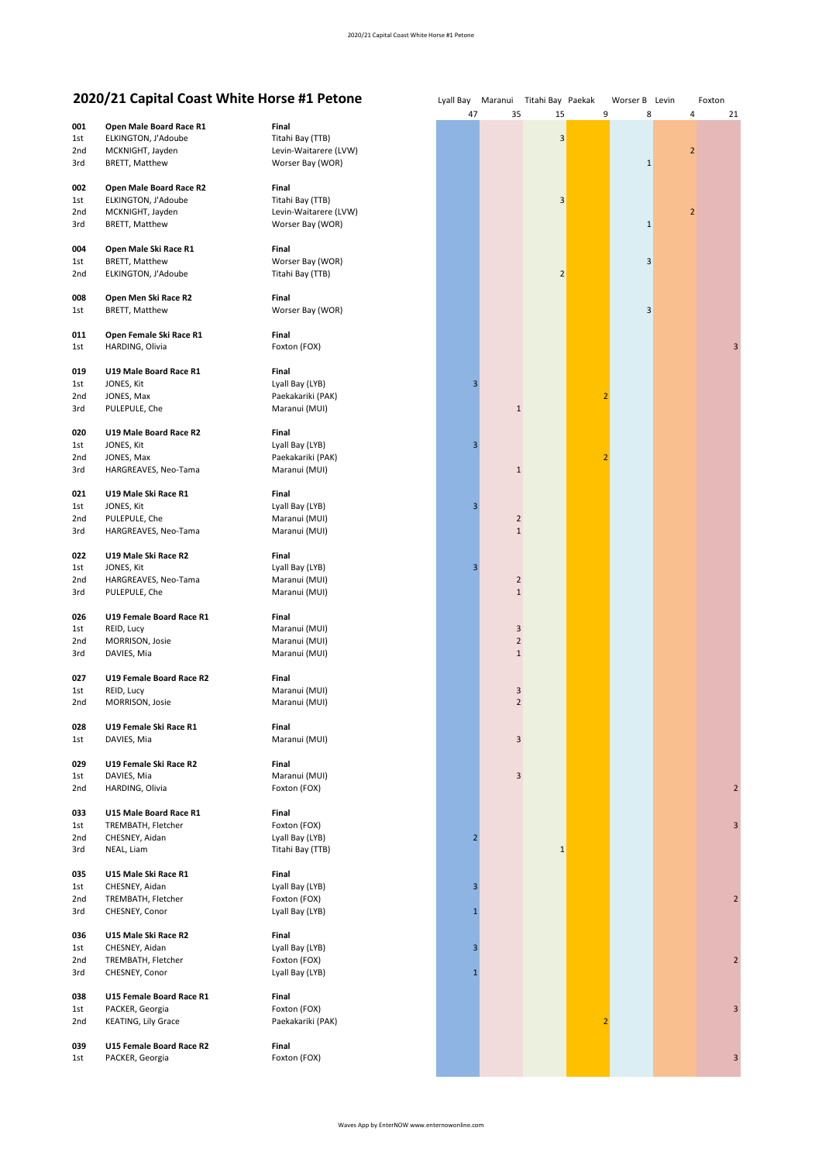| 2020/21 Capital Coast White Horse #1 Petone |  |  |
|---------------------------------------------|--|--|
|---------------------------------------------|--|--|

|            | 2020/21 Capital Coast White Horse #1 Petone |                                      |                |                | Lyall Bay Maranui Titahi Bay Paekak |                | Worser B Levin |   | Foxton         |
|------------|---------------------------------------------|--------------------------------------|----------------|----------------|-------------------------------------|----------------|----------------|---|----------------|
| 001        | Open Male Board Race R1                     | Final                                | 47             | 35             | 15                                  | 9              | 8              | 4 | 21             |
| 1st        | ELKINGTON, J'Adoube                         | Titahi Bay (TTB)                     |                |                | 3                                   |                |                |   |                |
| 2nd        | MCKNIGHT, Jayden                            | Levin-Waitarere (LVW)                |                |                |                                     |                |                | 2 |                |
| 3rd        | BRETT, Matthew                              | Worser Bay (WOR)                     |                |                |                                     |                | $\mathbf 1$    |   |                |
| 002        | Open Male Board Race R2                     | Final                                |                |                |                                     |                |                |   |                |
| 1st        | ELKINGTON, J'Adoube                         | Titahi Bay (TTB)                     |                |                | 3                                   |                |                |   |                |
| 2nd        | MCKNIGHT, Jayden                            | Levin-Waitarere (LVW)                |                |                |                                     |                |                | 2 |                |
| 3rd        | BRETT, Matthew                              | Worser Bay (WOR)                     |                |                |                                     |                | $\mathbf 1$    |   |                |
|            |                                             |                                      |                |                |                                     |                |                |   |                |
| 004        | Open Male Ski Race R1                       | Final                                |                |                |                                     |                |                |   |                |
| 1st<br>2nd | BRETT, Matthew<br>ELKINGTON, J'Adoube       | Worser Bay (WOR)<br>Titahi Bay (TTB) |                |                | $\overline{2}$                      |                | 3              |   |                |
|            |                                             |                                      |                |                |                                     |                |                |   |                |
| 008<br>1st | Open Men Ski Race R2<br>BRETT, Matthew      | Final<br>Worser Bay (WOR)            |                |                |                                     |                | 3              |   |                |
|            |                                             |                                      |                |                |                                     |                |                |   |                |
| 011        | Open Female Ski Race R1                     | Final                                |                |                |                                     |                |                |   | 3              |
| 1st        | HARDING, Olivia                             | Foxton (FOX)                         |                |                |                                     |                |                |   |                |
| 019        | U19 Male Board Race R1                      | Final                                |                |                |                                     |                |                |   |                |
| 1st        | JONES, Kit                                  | Lyall Bay (LYB)                      | 3              |                |                                     |                |                |   |                |
| 2nd        | JONES, Max                                  | Paekakariki (PAK)                    |                |                |                                     | $\overline{2}$ |                |   |                |
| 3rd        | PULEPULE, Che                               | Maranui (MUI)                        |                | $1\,$          |                                     |                |                |   |                |
| 020        | U19 Male Board Race R2                      | Final                                |                |                |                                     |                |                |   |                |
| 1st        | JONES, Kit                                  | Lyall Bay (LYB)                      | 3              |                |                                     |                |                |   |                |
| 2nd        | JONES, Max                                  | Paekakariki (PAK)                    |                |                |                                     | $\overline{2}$ |                |   |                |
| 3rd        | HARGREAVES, Neo-Tama                        | Maranui (MUI)                        |                | $\mathbf{1}$   |                                     |                |                |   |                |
| 021        | U19 Male Ski Race R1                        | Final                                |                |                |                                     |                |                |   |                |
| 1st        | JONES, Kit                                  | Lyall Bay (LYB)                      | 3              |                |                                     |                |                |   |                |
| 2nd        | PULEPULE, Che                               | Maranui (MUI)                        |                | $\overline{2}$ |                                     |                |                |   |                |
| 3rd        | HARGREAVES, Neo-Tama                        | Maranui (MUI)                        |                | $\mathbf 1$    |                                     |                |                |   |                |
| 022        | U19 Male Ski Race R2                        | Final                                |                |                |                                     |                |                |   |                |
| 1st        | JONES, Kit                                  | Lyall Bay (LYB)                      | 3              |                |                                     |                |                |   |                |
| 2nd        | HARGREAVES, Neo-Tama                        | Maranui (MUI)                        |                | $\overline{2}$ |                                     |                |                |   |                |
| 3rd        | PULEPULE, Che                               | Maranui (MUI)                        |                | $\mathbf 1$    |                                     |                |                |   |                |
| 026        | U19 Female Board Race R1                    | Final                                |                |                |                                     |                |                |   |                |
| 1st        | REID, Lucy                                  | Maranui (MUI)                        |                | 3              |                                     |                |                |   |                |
| 2nd        | MORRISON, Josie                             | Maranui (MUI)                        |                | $\overline{2}$ |                                     |                |                |   |                |
| 3rd        | DAVIES, Mia                                 | Maranui (MUI)                        |                | $\mathbf{1}$   |                                     |                |                |   |                |
| 027        | U19 Female Board Race R2                    | Final                                |                |                |                                     |                |                |   |                |
| 1st        | REID, Lucy                                  | Maranui (MUI)                        |                | 3              |                                     |                |                |   |                |
| 2nd        | MORRISON, Josie                             | Maranui (MUI)                        |                | $\overline{2}$ |                                     |                |                |   |                |
|            |                                             |                                      |                |                |                                     |                |                |   |                |
| 028        | U19 Female Ski Race R1<br>DAVIES, Mia       | Final<br>Maranui (MUI)               |                | 3              |                                     |                |                |   |                |
| 1st        |                                             |                                      |                |                |                                     |                |                |   |                |
| 029        | U19 Female Ski Race R2                      | Final                                |                |                |                                     |                |                |   |                |
| 1st        | DAVIES, Mia                                 | Maranui (MUI)                        |                | 3              |                                     |                |                |   |                |
| 2nd        | HARDING, Olivia                             | Foxton (FOX)                         |                |                |                                     |                |                |   | $\overline{2}$ |
| 033        | U15 Male Board Race R1                      | Final                                |                |                |                                     |                |                |   |                |
| 1st        | TREMBATH, Fletcher                          | Foxton (FOX)                         |                |                |                                     |                |                |   | 3              |
| 2nd        | CHESNEY, Aidan                              | Lyall Bay (LYB)                      | $\overline{2}$ |                |                                     |                |                |   |                |
| 3rd        | NEAL, Liam                                  | Titahi Bay (TTB)                     |                |                | $\mathbf{1}$                        |                |                |   |                |
| 035        | U15 Male Ski Race R1                        | Final                                |                |                |                                     |                |                |   |                |
| 1st        | CHESNEY, Aidan                              | Lyall Bay (LYB)                      | 3              |                |                                     |                |                |   |                |
| 2nd        | TREMBATH, Fletcher                          | Foxton (FOX)                         |                |                |                                     |                |                |   | $\overline{2}$ |
| 3rd        | CHESNEY, Conor                              | Lyall Bay (LYB)                      | $\mathbf{1}$   |                |                                     |                |                |   |                |
| 036        | U15 Male Ski Race R2                        | Final                                |                |                |                                     |                |                |   |                |
| 1st        | CHESNEY, Aidan                              | Lyall Bay (LYB)                      | 3              |                |                                     |                |                |   |                |
| 2nd        | TREMBATH, Fletcher                          | Foxton (FOX)                         |                |                |                                     |                |                |   | $\overline{2}$ |
| 3rd        | CHESNEY, Conor                              | Lyall Bay (LYB)                      | 1              |                |                                     |                |                |   |                |
| 038        | U15 Female Board Race R1                    | Final                                |                |                |                                     |                |                |   |                |
| 1st        | PACKER, Georgia                             | Foxton (FOX)                         |                |                |                                     |                |                |   | 3              |
| 2nd        | KEATING, Lily Grace                         | Paekakariki (PAK)                    |                |                |                                     | $\overline{2}$ |                |   |                |
| 039        | U15 Female Board Race R2                    | Final                                |                |                |                                     |                |                |   |                |
| 1st        | PACKER, Georgia                             | Foxton (FOX)                         |                |                |                                     |                |                |   | $\overline{3}$ |
|            |                                             |                                      |                |                |                                     |                |                |   |                |